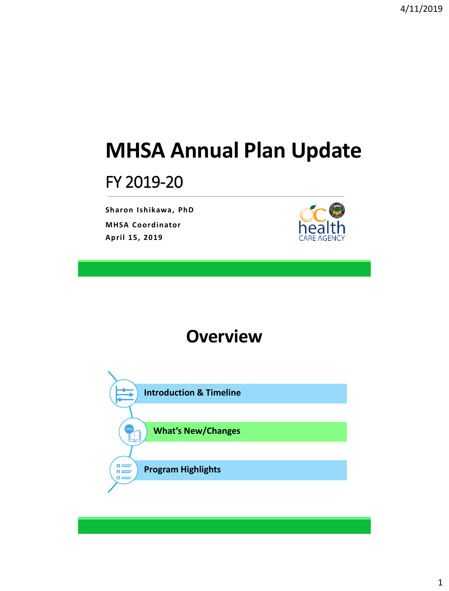# **MHSA Annual Plan Update**

## FY 2019-20

**Sharon Ishikawa, PhD MHSA Coordinator April 15, 2019**



## **Overview**

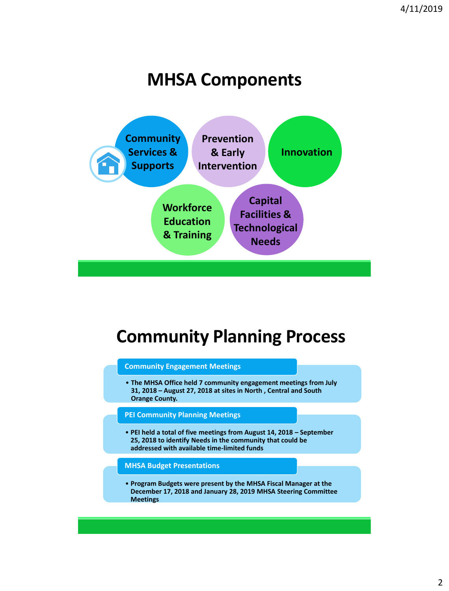## **MHSA Components**



## **Community Planning Process**

#### **Community Engagement Meetings**

• **The MHSA Office held 7 community engagement meetings from July 31, 2018 – August 27, 2018 at sites in North , Central and South Orange County.** 

### **PEI Community Planning Meetings**

• **PEI held a total of five meetings from August 14, 2018 – September 25, 2018 to identify Needs in the community that could be addressed with available time-limited funds**

#### **MHSA Budget Presentations**

• **Program Budgets were present by the MHSA Fiscal Manager at the December 17, 2018 and January 28, 2019 MHSA Steering Committee Meetings**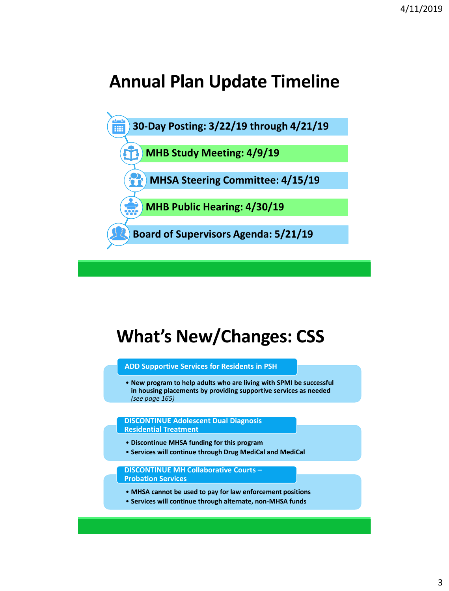## **Annual Plan Update Timeline**



# **What's New/Changes: CSS**

#### **ADD Supportive Services for Residents in PSH**

• **New program to help adults who are living with SPMI be successful in housing placements by providing supportive services as needed**  *(see page 165)*

#### **DISCONTINUE Adolescent Dual Diagnosis Residential Treatment**

- **Discontinue MHSA funding for this program**
- **Services will continue through Drug MediCal and MediCal**

**DISCONTINUE MH Collaborative Courts – Probation Services**

- **MHSA cannot be used to pay for law enforcement positions**
- **Services will continue through alternate, non-MHSA funds**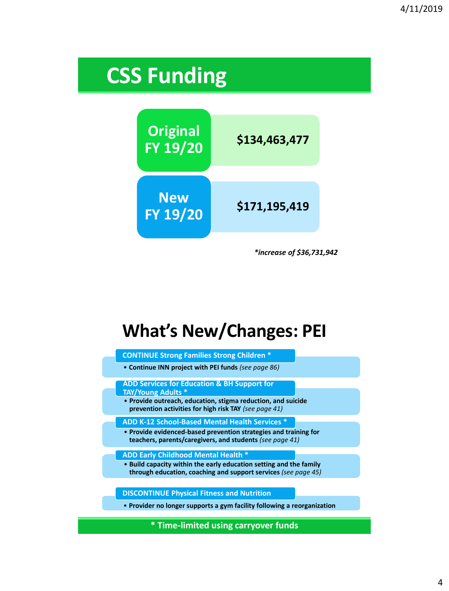# **CSS Funding**



*\*increase of \$36,731,942*

# **What's New/Changes: PEI**

| <b>CONTINUE Strong Families Strong Children *</b>                                                                                                                                                            |  |  |  |  |
|--------------------------------------------------------------------------------------------------------------------------------------------------------------------------------------------------------------|--|--|--|--|
| • Continue INN project with PEI funds (see page 86)                                                                                                                                                          |  |  |  |  |
| <b>ADD Services for Education &amp; BH Support for</b><br><b>TAY/Young Adults *</b><br>• Provide outreach, education, stigma reduction, and suicide<br>prevention activities for high risk TAY (see page 41) |  |  |  |  |
| ADD K-12 School-Based Mental Health Services *<br>• Provide evidenced-based prevention strategies and training for<br>teachers, parents/caregivers, and students (see page 41)                               |  |  |  |  |
| <b>ADD Early Childhood Mental Health *</b><br>• Build capacity within the early education setting and the family<br>through education, coaching and support services (see page 45)                           |  |  |  |  |
| <b>DISCONTINUE Physical Fitness and Nutrition</b><br>• Provider no longer supports a gym facility following a reorganization                                                                                 |  |  |  |  |
|                                                                                                                                                                                                              |  |  |  |  |

**\* Time-limited using carryover funds**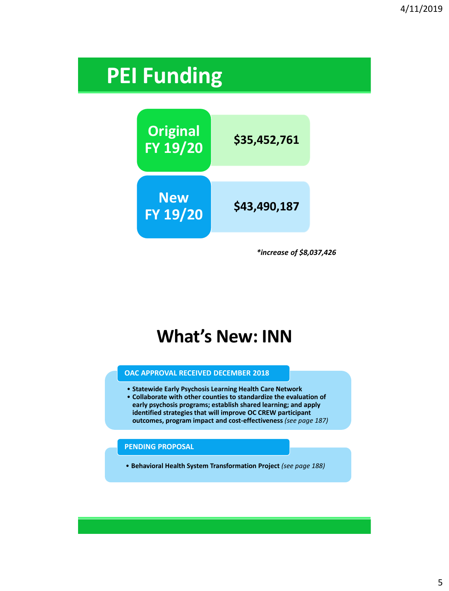# **PEI Funding**



*\*increase of \$8,037,426*

## **What's New: INN**

#### **OAC APPROVAL RECEIVED DECEMBER 2018**

- **Statewide Early Psychosis Learning Health Care Network**
- **Collaborate with other counties to standardize the evaluation of early psychosis programs; establish shared learning; and apply identified strategies that will improve OC CREW participant outcomes, program impact and cost-effectiveness** *(see page 187)*

#### **PENDING PROPOSAL**

• **Behavioral Health System Transformation Project** *(see page 188)*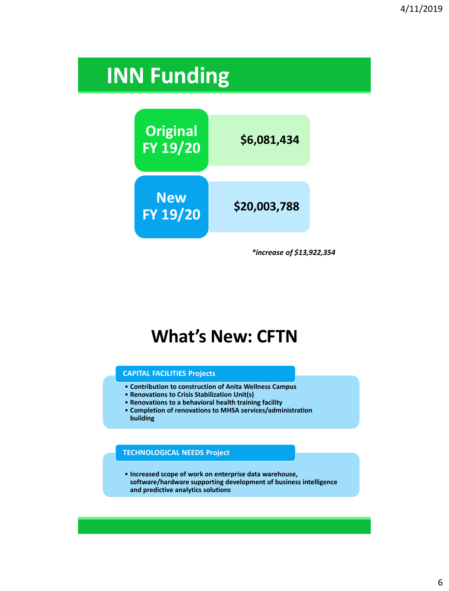# **INN Funding**



*\*increase of \$13,922,354*

## **What's New: CFTN**

#### **CAPITAL FACILITIES Projects**

- **Contribution to construction of Anita Wellness Campus**
- **Renovations to Crisis Stabilization Unit(s)**
- **Renovations to a behavioral health training facility**
- **Completion of renovations to MHSA services/administration building**

### **TECHNOLOGICAL NEEDS Project**

• **Increased scope of work on enterprise data warehouse, software/hardware supporting development of business intelligence and predictive analytics solutions**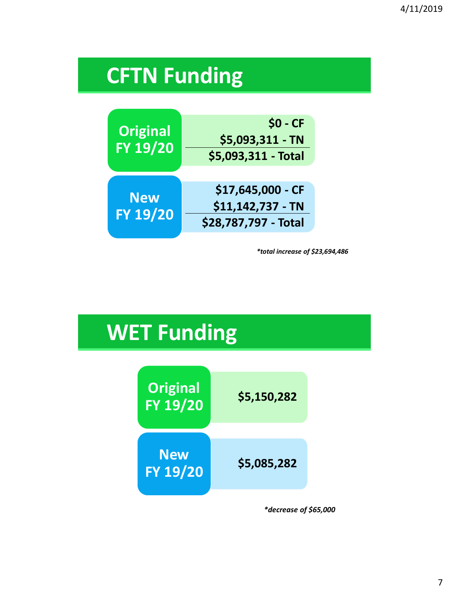# **CFTN Funding**



*\*total increase of \$23,694,486*

# **WET Funding**



*\*decrease of \$65,000*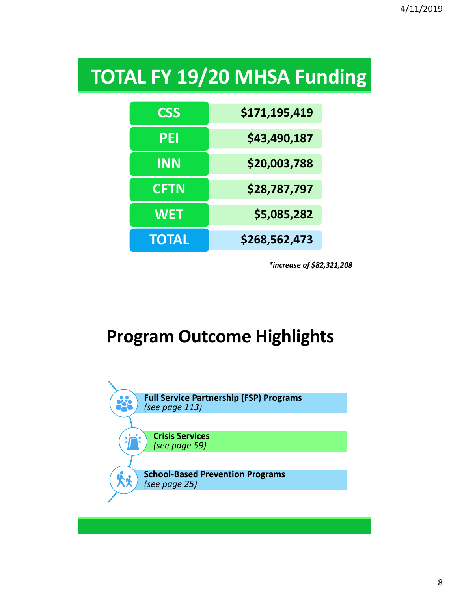# **TOTAL FY 19/20 MHSA Funding**

| <b>CSS</b>   | \$171,195,419 |  |
|--------------|---------------|--|
| PEI          | \$43,490,187  |  |
| <b>INN</b>   | \$20,003,788  |  |
| <b>CFTN</b>  | \$28,787,797  |  |
| <b>WET</b>   | \$5,085,282   |  |
| <b>TOTAL</b> | \$268,562,473 |  |

*\*increase of \$82,321,208*

## **Program Outcome Highlights**

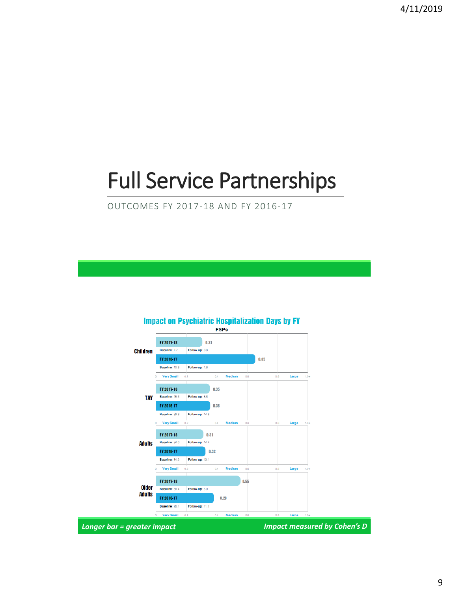# Full Service Partnerships

OUTCOMES FY 2017-18 AND FY 2016-17

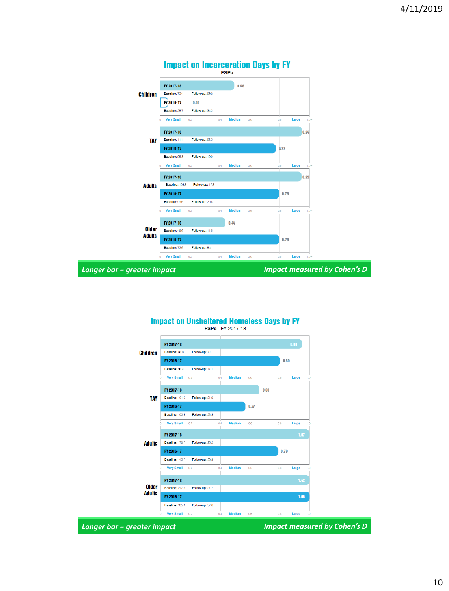

## **Impact on Unsheltered Homeless Days by FY**<br>FSPs - FY 2017-18

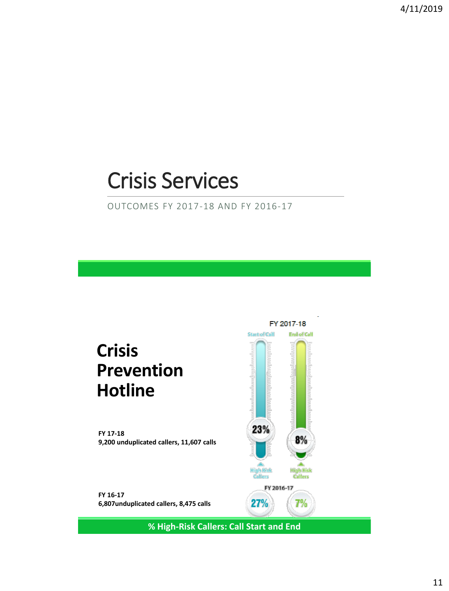# Crisis Services

OUTCOMES FY 2017-18 AND FY 2016-17

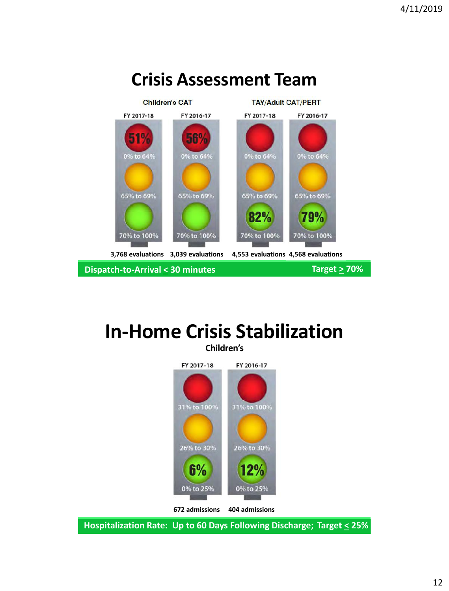

### **In-Home Crisis Stabilization Children's**



**Hospitalization Rate: Up to 60 Days Following Discharge; Target < 25%**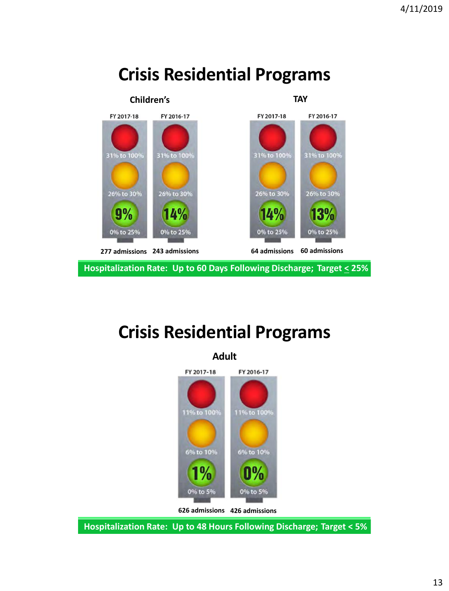

## **Crisis Residential Programs**

## **Crisis Residential Programs**



**Hospitalization Rate: Up to 48 Hours Following Discharge; Target < 5%**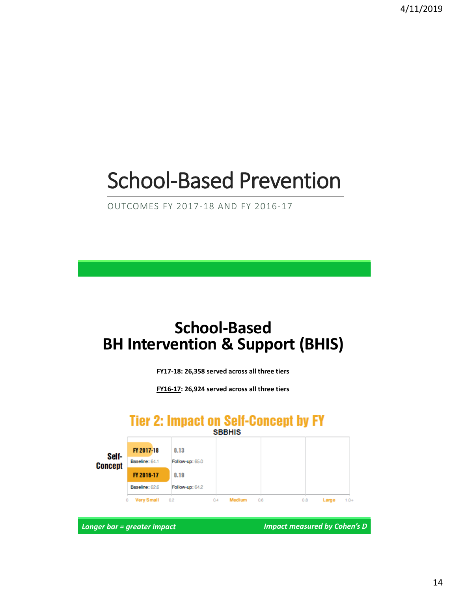# School-Based Prevention

OUTCOMES FY 2017-18 AND FY 2016-17

## **School-Based BH Intervention & Support (BHIS)**

**FY17-18: 26,358 served across all three tiers**

**FY16-17: 26,924 served across all three tiers**

### **Tier 2: Impact on Self-Concept by FY**



*Longer bar = greater impact Impact measured by Cohen's D*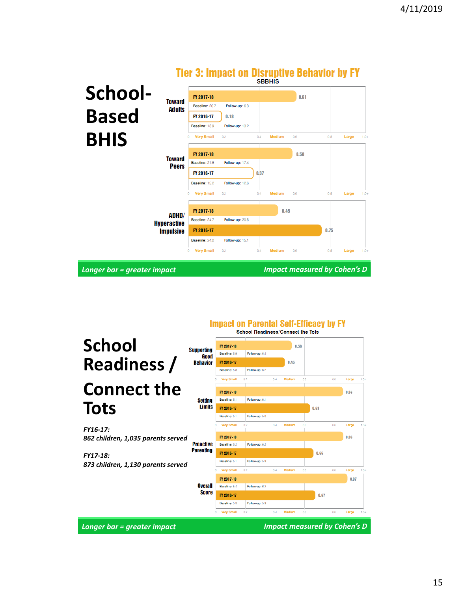|                                        | TIVE VEHIPPUVE VII DIVINPUTV DVIINTIVE NJ E I<br><b>SBBHIS</b> |                             |                                     |  |  |
|----------------------------------------|----------------------------------------------------------------|-----------------------------|-------------------------------------|--|--|
| School-<br><b>Toward</b>               | FY 2017-18                                                     |                             | 0.61                                |  |  |
| <b>Ad ults</b><br><b>Based</b>         | Follow-up: 6.3<br>Baseline: 20.7<br>FY 2016-17<br>0.18         |                             |                                     |  |  |
|                                        | Baseline: 13.9<br>Follow-up: 13.2<br><b>Very Small</b><br>0.2  | Medium<br>0.4<br>0.6        | 0.8<br>Large<br>$1.0+$              |  |  |
| <b>BHIS</b>                            | FY 2017-18                                                     | 0.50                        |                                     |  |  |
| <b>Toward</b><br><b>Peers</b>          | Follow-up: 17.4<br>Baseline: 21.8<br>FY 2016-17                | 0.37                        |                                     |  |  |
|                                        | Follow-up: 12.6<br>Baseline: 15.2                              |                             |                                     |  |  |
|                                        | <b>Very Small</b><br>0.2                                       | 0.4<br><b>Medium</b><br>0.6 | 0.8<br>Large<br>$1.0+$              |  |  |
| ADHD/                                  | FY 2017-18<br>Follow-up: 20.6<br>Baseline: 24.7                | 0.45                        |                                     |  |  |
| <b>Hyperactive</b><br><b>Impulsive</b> | FY 2016-17<br>Baseline: 242<br>Follow-up: 15.1                 |                             | 0.75                                |  |  |
|                                        | <b>Very Small</b><br>0.2<br>0                                  | Medium<br>0.6<br>0.4        | 0.8<br>Large<br>$1.0+$              |  |  |
| Longer bar = greater impact            |                                                                |                             | <b>Impact measured by Cohen's D</b> |  |  |

### Tier 3: Imnact on Disruntive Rehavior by FV

#### **School**  FY 2017-18  $0.56$ **Supporting** Baseline: 5.9 Follow-up: 6.4 Good **Readiness /**  FY 2016-17 **Behavior**  $0.45$ Baseline: 5.8 Follow-up: 6.2 **Very Small**  $06$ Laros **Connect the**  FY 2017-18  $0.84$ **Setting** Baseline: 5.1 Follow-up: 6.1 **Tots** Limits FY 2016-17  $0.63$ Baseline: 5.1 Follow-up: 5.8 Very Small Laro *FY16-17: 862 children, 1,035 parents served* FY 2017-18 0.86 **Proactive** Baseline: 5.2 Follow-up: 6.2 **Parenting** FY 2016-17  $0.66$ *FY17-18:* Baseline: 5.1 Follow-up: 5.9 *873 children, 1,130 parents served***Very Small**  $0.2$  $0.4$  $0.6$ Large Medium FY 2017-18  $0.87$ **Overall** Baseline: 5.4 Follow-up: 6.2 **Score** FY 2016-17  $0.67$ Baseline: 5.3 Follow-up: 5.9 Very Small *Longer bar = greater impact Impact measured by Cohen's D*

**Impact on Parental Self-Efficacy by FY** School Readiness/Connect the Tots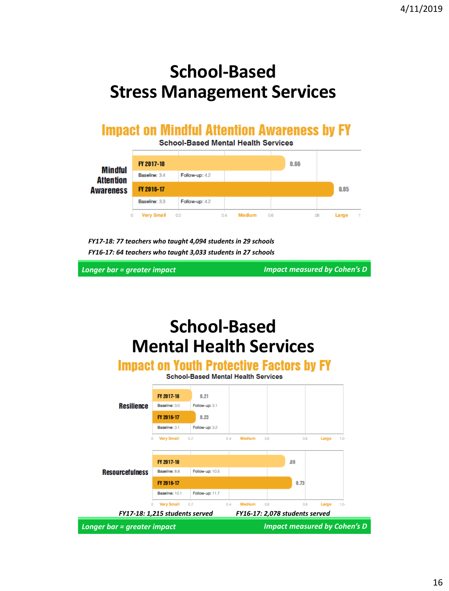## **School-Based Stress Management Services**

### **Impact on Mindful Attention Awareness by FY**

**School-Based Mental Health Services** 

|                             | FY 2017-18        |                |                      | 0.66 |              |
|-----------------------------|-------------------|----------------|----------------------|------|--------------|
| Mindful<br><b>Attention</b> | Baseline: 3.4     | Follow-up: 4.2 |                      |      |              |
| <b>Awareness</b>            | FY 2016-17        |                |                      |      | 0.85         |
|                             | Baseline: 3.3     | Follow-up: 42  |                      |      |              |
|                             | <b>Very Small</b> | 02             | <b>Medium</b><br>0.4 | 0.6  | Large<br>.08 |

*FY17-18: 77 teachers who taught 4,094 students in 29 schools FY16-17: 64 teachers who taught 3,033 students in 27 schools*

*Longer bar = greater impact Impact measured by Cohen's D*

## **School-Based Mental Health Services**

**Impact on Youth Protective Factors by FY** 

**School-Based Mental Health Services** 

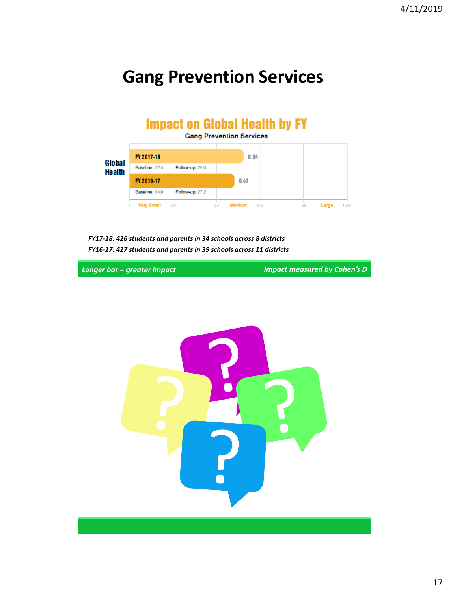## **Gang Prevention Services**

#### **Impact on Global Health by FY Gang Prevention Services**  $0.54$ FY 2017-18 Global Baseline: 22.4 Follow-up: 25.0 **Health**  $0.47$ FY 2016-17 Baseline: 24.9 Follow-up: 27.2 **Very Small** Medium  $0.2$  $0.4$  $0.6$  $\sqrt{3}$ Large  $1.0 +$

*FY17-18: 426 students and parents in 34 schools across 8 districts FY16-17: 427 students and parents in 39 schools across 11 districts*

*Longer bar = greater impact Impact measured by Cohen's D*